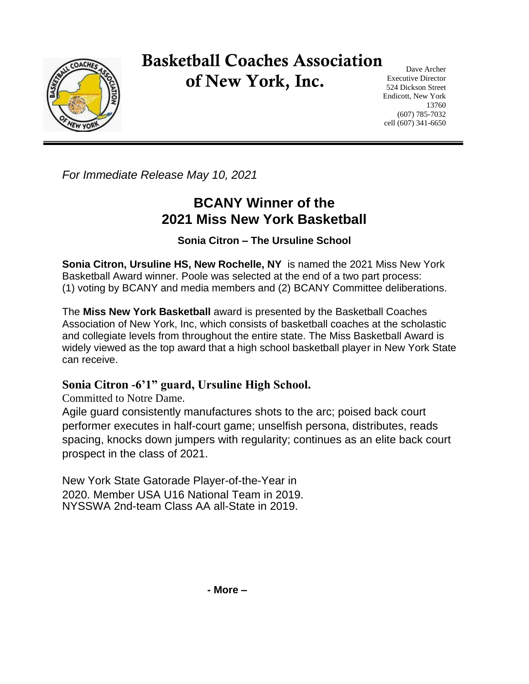

## Basketball Coaches Association of New York, Inc.

Dave Archer Executive Director 524 Dickson Street Endicott, New York 13760 (607) 785-7032 cell (607) 341-6650

*For Immediate Release May 10, 2021*

## **BCANY Winner of the 2021 Miss New York Basketball**

**Sonia Citron – The Ursuline School**

**Sonia Citron, Ursuline HS, New Rochelle, NY** is named the 2021 Miss New York Basketball Award winner. Poole was selected at the end of a two part process: (1) voting by BCANY and media members and (2) BCANY Committee deliberations.

The **Miss New York Basketball** award is presented by the Basketball Coaches Association of New York, Inc, which consists of basketball coaches at the scholastic and collegiate levels from throughout the entire state. The Miss Basketball Award is widely viewed as the top award that a high school basketball player in New York State can receive.

## **Sonia Citron -6'1" guard, Ursuline High School.**

Committed to Notre Dame.

Agile guard consistently manufactures shots to the arc; poised back court performer executes in half-court game; unselfish persona, distributes, reads spacing, knocks down jumpers with regularity; continues as an elite back court prospect in the class of 2021.

New York State Gatorade Player-of-the-Year in 2020. Member USA U16 National Team in 2019. NYSSWA 2nd-team Class AA all-State in 2019.